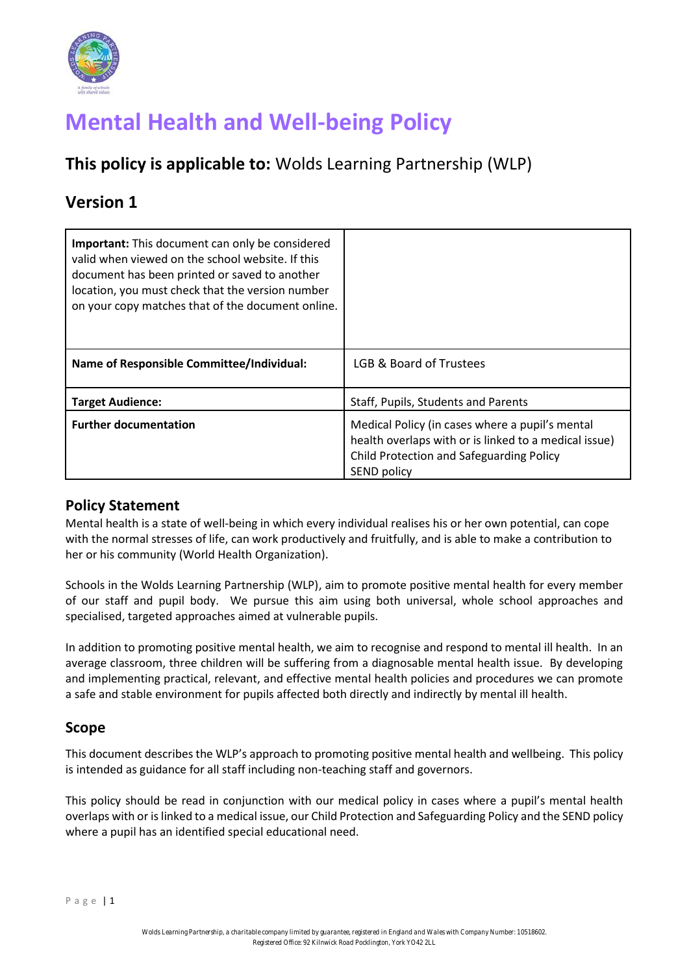

# **Mental Health and Well-being Policy**

# **This policy is applicable to:** Wolds Learning Partnership (WLP)

# **Version 1**

| <b>Important:</b> This document can only be considered<br>valid when viewed on the school website. If this<br>document has been printed or saved to another<br>location, you must check that the version number<br>on your copy matches that of the document online. |                                                                                                                                                                     |
|----------------------------------------------------------------------------------------------------------------------------------------------------------------------------------------------------------------------------------------------------------------------|---------------------------------------------------------------------------------------------------------------------------------------------------------------------|
| <b>Name of Responsible Committee/Individual:</b>                                                                                                                                                                                                                     | LGB & Board of Trustees                                                                                                                                             |
| <b>Target Audience:</b>                                                                                                                                                                                                                                              | Staff, Pupils, Students and Parents                                                                                                                                 |
| <b>Further documentation</b>                                                                                                                                                                                                                                         | Medical Policy (in cases where a pupil's mental<br>health overlaps with or is linked to a medical issue)<br>Child Protection and Safeguarding Policy<br>SEND policy |

#### **Policy Statement**

Mental health is a state of well-being in which every individual realises his or her own potential, can cope with the normal stresses of life, can work productively and fruitfully, and is able to make a contribution to her or his community (World Health Organization).

Schools in the Wolds Learning Partnership (WLP), aim to promote positive mental health for every member of our staff and pupil body. We pursue this aim using both universal, whole school approaches and specialised, targeted approaches aimed at vulnerable pupils.

In addition to promoting positive mental health, we aim to recognise and respond to mental ill health. In an average classroom, three children will be suffering from a diagnosable mental health issue. By developing and implementing practical, relevant, and effective mental health policies and procedures we can promote a safe and stable environment for pupils affected both directly and indirectly by mental ill health.

#### **Scope**

This document describes the WLP's approach to promoting positive mental health and wellbeing. This policy is intended as guidance for all staff including non-teaching staff and governors.

This policy should be read in conjunction with our medical policy in cases where a pupil's mental health overlaps with or is linked to a medical issue, our Child Protection and Safeguarding Policy and the SEND policy where a pupil has an identified special educational need.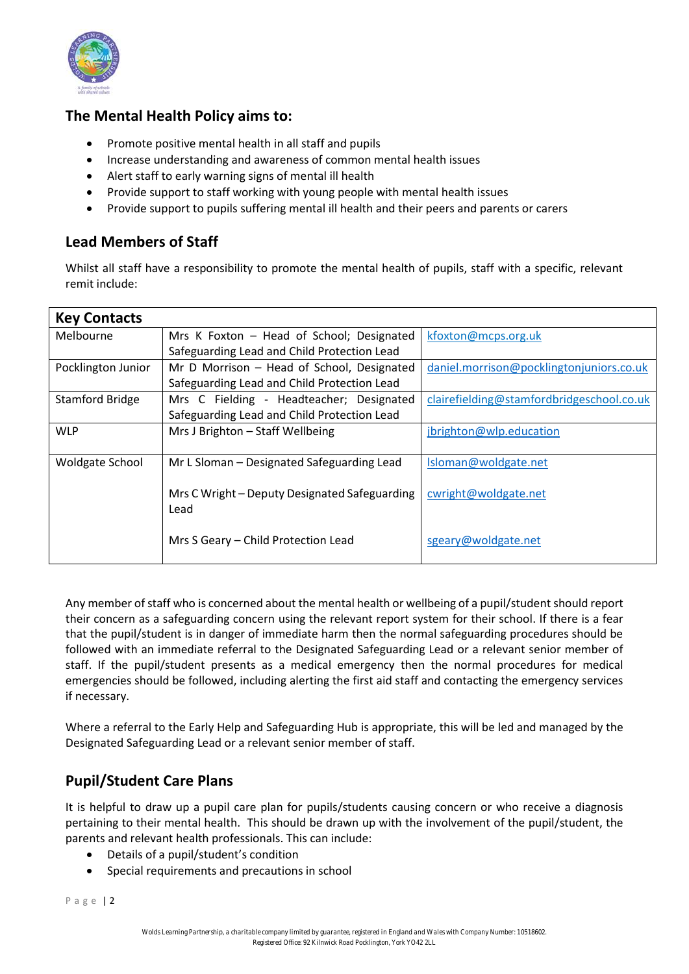

#### **The Mental Health Policy aims to:**

- Promote positive mental health in all staff and pupils
- Increase understanding and awareness of common mental health issues
- Alert staff to early warning signs of mental ill health
- Provide support to staff working with young people with mental health issues
- Provide support to pupils suffering mental ill health and their peers and parents or carers

### **Lead Members of Staff**

Whilst all staff have a responsibility to promote the mental health of pupils, staff with a specific, relevant remit include:

| <b>Key Contacts</b>    |                                               |                                           |
|------------------------|-----------------------------------------------|-------------------------------------------|
| Melbourne              | Mrs K Foxton - Head of School; Designated     | kfoxton@mcps.org.uk                       |
|                        | Safeguarding Lead and Child Protection Lead   |                                           |
| Pocklington Junior     | Mr D Morrison - Head of School, Designated    | daniel.morrison@pocklingtonjuniors.co.uk  |
|                        | Safeguarding Lead and Child Protection Lead   |                                           |
| <b>Stamford Bridge</b> | Mrs C Fielding - Headteacher; Designated      | clairefielding@stamfordbridgeschool.co.uk |
|                        | Safeguarding Lead and Child Protection Lead   |                                           |
| <b>WLP</b>             | Mrs J Brighton - Staff Wellbeing              | jbrighton@wlp.education                   |
|                        |                                               |                                           |
| <b>Woldgate School</b> | Mr L Sloman - Designated Safeguarding Lead    | Isloman@woldgate.net                      |
|                        |                                               |                                           |
|                        | Mrs C Wright – Deputy Designated Safeguarding | cwright@woldgate.net                      |
|                        | Lead                                          |                                           |
|                        |                                               |                                           |
|                        | Mrs S Geary - Child Protection Lead           | sgeary@woldgate.net                       |
|                        |                                               |                                           |

Any member of staff who is concerned about the mental health or wellbeing of a pupil/student should report their concern as a safeguarding concern using the relevant report system for their school. If there is a fear that the pupil/student is in danger of immediate harm then the normal safeguarding procedures should be followed with an immediate referral to the Designated Safeguarding Lead or a relevant senior member of staff. If the pupil/student presents as a medical emergency then the normal procedures for medical emergencies should be followed, including alerting the first aid staff and contacting the emergency services if necessary.

Where a referral to the Early Help and Safeguarding Hub is appropriate, this will be led and managed by the Designated Safeguarding Lead or a relevant senior member of staff.

## **Pupil/Student Care Plans**

It is helpful to draw up a pupil care plan for pupils/students causing concern or who receive a diagnosis pertaining to their mental health. This should be drawn up with the involvement of the pupil/student, the parents and relevant health professionals. This can include:

- Details of a pupil/student's condition
- Special requirements and precautions in school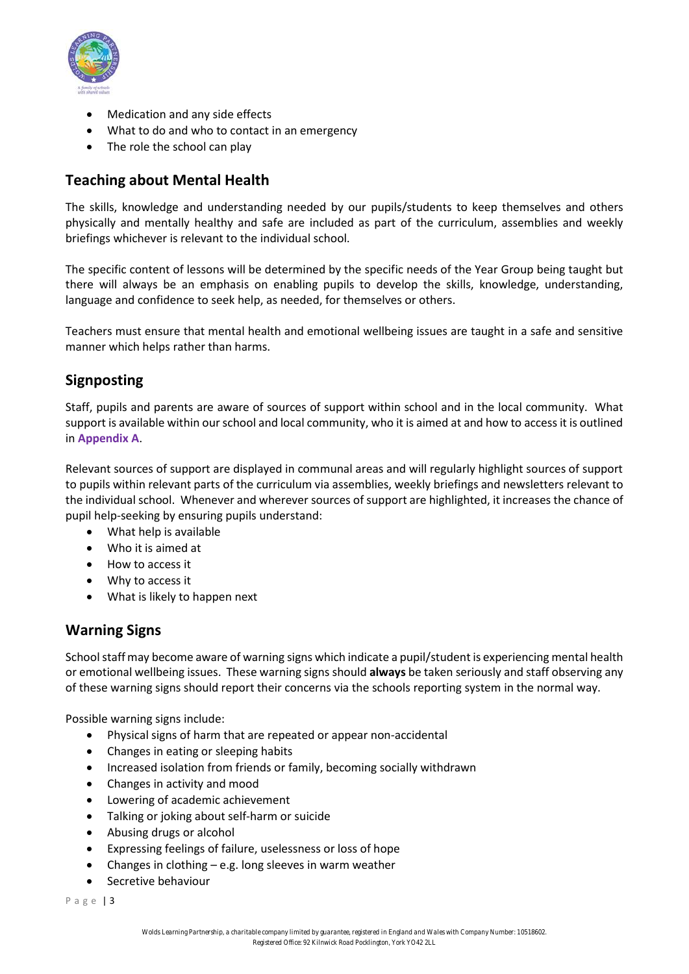

- Medication and any side effects
- What to do and who to contact in an emergency
- The role the school can play

### **Teaching about Mental Health**

The skills, knowledge and understanding needed by our pupils/students to keep themselves and others physically and mentally healthy and safe are included as part of the curriculum, assemblies and weekly briefings whichever is relevant to the individual school.

The specific content of lessons will be determined by the specific needs of the Year Group being taught but there will always be an emphasis on enabling pupils to develop the skills, knowledge, understanding, language and confidence to seek help, as needed, for themselves or others.

Teachers must ensure that mental health and emotional wellbeing issues are taught in a safe and sensitive manner which helps rather than harms.

## **Signposting**

Staff, pupils and parents are aware of sources of support within school and in the local community. What support is available within our school and local community, who it is aimed at and how to access it is outlined in **Appendix A**.

Relevant sources of support are displayed in communal areas and will regularly highlight sources of support to pupils within relevant parts of the curriculum via assemblies, weekly briefings and newsletters relevant to the individual school. Whenever and wherever sources of support are highlighted, it increases the chance of pupil help-seeking by ensuring pupils understand:

- What help is available
- Who it is aimed at
- How to access it
- Why to access it
- What is likely to happen next

#### **Warning Signs**

School staff may become aware of warning signs which indicate a pupil/student is experiencing mental health or emotional wellbeing issues. These warning signs should **always** be taken seriously and staff observing any of these warning signs should report their concerns via the schools reporting system in the normal way.

Possible warning signs include:

- Physical signs of harm that are repeated or appear non-accidental
- Changes in eating or sleeping habits
- Increased isolation from friends or family, becoming socially withdrawn
- Changes in activity and mood
- Lowering of academic achievement
- Talking or joking about self-harm or suicide
- Abusing drugs or alcohol
- Expressing feelings of failure, uselessness or loss of hope
- Changes in clothing e.g. long sleeves in warm weather
- Secretive behaviour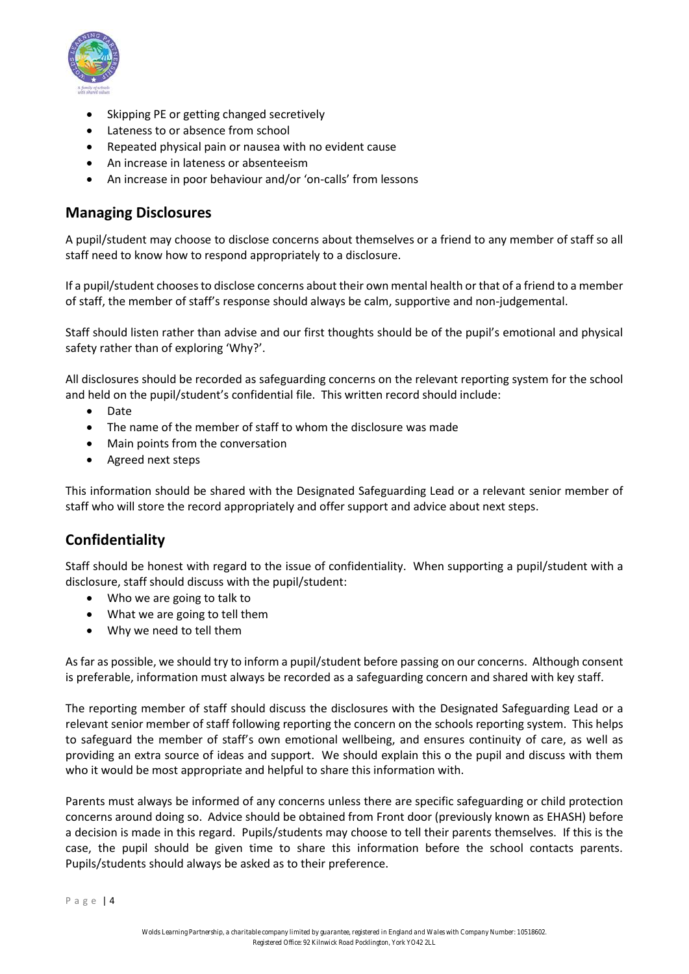

- Skipping PE or getting changed secretively
- Lateness to or absence from school
- Repeated physical pain or nausea with no evident cause
- An increase in lateness or absenteeism
- An increase in poor behaviour and/or 'on-calls' from lessons

#### **Managing Disclosures**

A pupil/student may choose to disclose concerns about themselves or a friend to any member of staff so all staff need to know how to respond appropriately to a disclosure.

If a pupil/student chooses to disclose concerns about their own mental health or that of a friend to a member of staff, the member of staff's response should always be calm, supportive and non-judgemental.

Staff should listen rather than advise and our first thoughts should be of the pupil's emotional and physical safety rather than of exploring 'Why?'.

All disclosures should be recorded as safeguarding concerns on the relevant reporting system for the school and held on the pupil/student's confidential file. This written record should include:

- Date
- The name of the member of staff to whom the disclosure was made
- Main points from the conversation
- Agreed next steps

This information should be shared with the Designated Safeguarding Lead or a relevant senior member of staff who will store the record appropriately and offer support and advice about next steps.

#### **Confidentiality**

Staff should be honest with regard to the issue of confidentiality. When supporting a pupil/student with a disclosure, staff should discuss with the pupil/student:

- Who we are going to talk to
- What we are going to tell them
- Why we need to tell them

As far as possible, we should try to inform a pupil/student before passing on our concerns. Although consent is preferable, information must always be recorded as a safeguarding concern and shared with key staff.

The reporting member of staff should discuss the disclosures with the Designated Safeguarding Lead or a relevant senior member of staff following reporting the concern on the schools reporting system. This helps to safeguard the member of staff's own emotional wellbeing, and ensures continuity of care, as well as providing an extra source of ideas and support. We should explain this o the pupil and discuss with them who it would be most appropriate and helpful to share this information with.

Parents must always be informed of any concerns unless there are specific safeguarding or child protection concerns around doing so. Advice should be obtained from Front door (previously known as EHASH) before a decision is made in this regard. Pupils/students may choose to tell their parents themselves. If this is the case, the pupil should be given time to share this information before the school contacts parents. Pupils/students should always be asked as to their preference.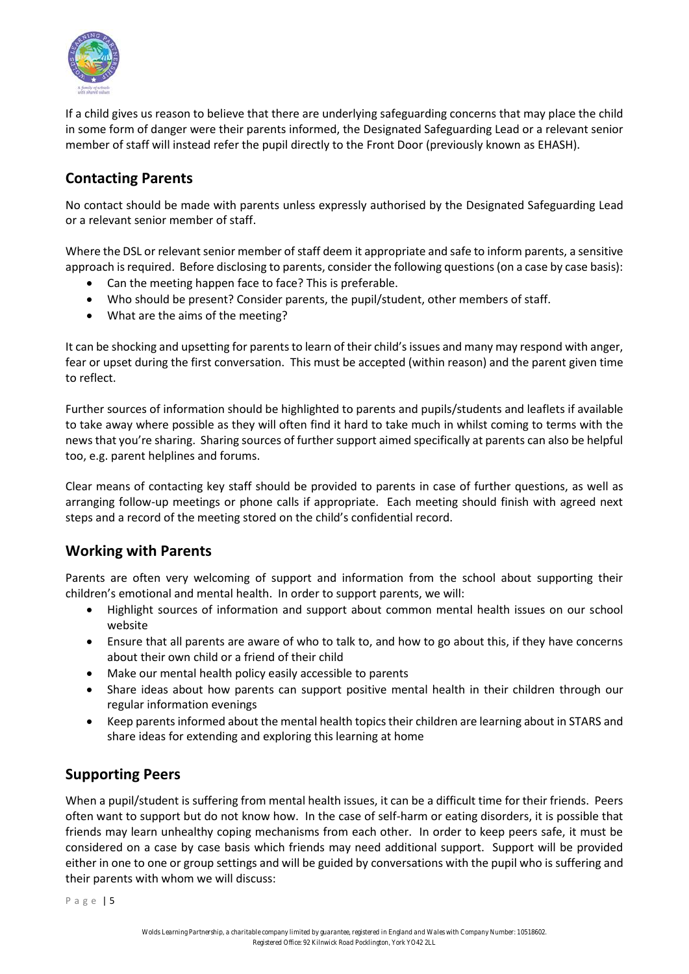

If a child gives us reason to believe that there are underlying safeguarding concerns that may place the child in some form of danger were their parents informed, the Designated Safeguarding Lead or a relevant senior member of staff will instead refer the pupil directly to the Front Door (previously known as EHASH).

### **Contacting Parents**

No contact should be made with parents unless expressly authorised by the Designated Safeguarding Lead or a relevant senior member of staff.

Where the DSL or relevant senior member of staff deem it appropriate and safe to inform parents, a sensitive approach is required. Before disclosing to parents, consider the following questions (on a case by case basis):

- Can the meeting happen face to face? This is preferable.
- Who should be present? Consider parents, the pupil/student, other members of staff.
- What are the aims of the meeting?

It can be shocking and upsetting for parents to learn of their child's issues and many may respond with anger, fear or upset during the first conversation. This must be accepted (within reason) and the parent given time to reflect.

Further sources of information should be highlighted to parents and pupils/students and leaflets if available to take away where possible as they will often find it hard to take much in whilst coming to terms with the news that you're sharing. Sharing sources of further support aimed specifically at parents can also be helpful too, e.g. parent helplines and forums.

Clear means of contacting key staff should be provided to parents in case of further questions, as well as arranging follow-up meetings or phone calls if appropriate. Each meeting should finish with agreed next steps and a record of the meeting stored on the child's confidential record.

#### **Working with Parents**

Parents are often very welcoming of support and information from the school about supporting their children's emotional and mental health. In order to support parents, we will:

- Highlight sources of information and support about common mental health issues on our school website
- Ensure that all parents are aware of who to talk to, and how to go about this, if they have concerns about their own child or a friend of their child
- Make our mental health policy easily accessible to parents
- Share ideas about how parents can support positive mental health in their children through our regular information evenings
- Keep parents informed about the mental health topics their children are learning about in STARS and share ideas for extending and exploring this learning at home

## **Supporting Peers**

When a pupil/student is suffering from mental health issues, it can be a difficult time for their friends. Peers often want to support but do not know how. In the case of self-harm or eating disorders, it is possible that friends may learn unhealthy coping mechanisms from each other. In order to keep peers safe, it must be considered on a case by case basis which friends may need additional support. Support will be provided either in one to one or group settings and will be guided by conversations with the pupil who is suffering and their parents with whom we will discuss: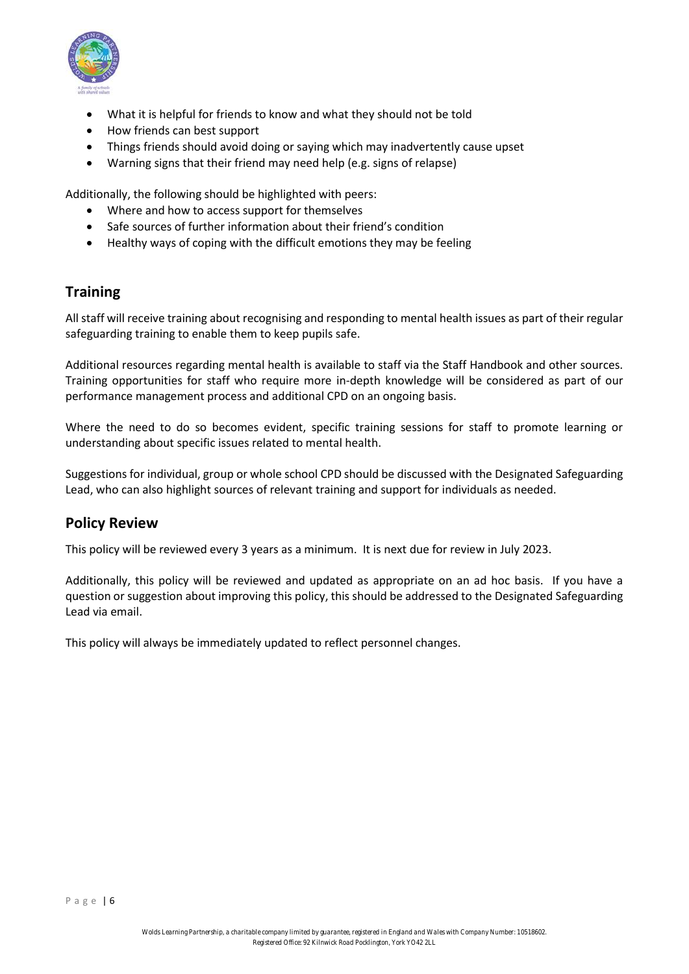

- What it is helpful for friends to know and what they should not be told
- How friends can best support
- Things friends should avoid doing or saying which may inadvertently cause upset
- Warning signs that their friend may need help (e.g. signs of relapse)

Additionally, the following should be highlighted with peers:

- Where and how to access support for themselves
- Safe sources of further information about their friend's condition
- Healthy ways of coping with the difficult emotions they may be feeling

#### **Training**

All staff will receive training about recognising and responding to mental health issues as part of their regular safeguarding training to enable them to keep pupils safe.

Additional resources regarding mental health is available to staff via the Staff Handbook and other sources. Training opportunities for staff who require more in-depth knowledge will be considered as part of our performance management process and additional CPD on an ongoing basis.

Where the need to do so becomes evident, specific training sessions for staff to promote learning or understanding about specific issues related to mental health.

Suggestions for individual, group or whole school CPD should be discussed with the Designated Safeguarding Lead, who can also highlight sources of relevant training and support for individuals as needed.

#### **Policy Review**

This policy will be reviewed every 3 years as a minimum. It is next due for review in July 2023.

Additionally, this policy will be reviewed and updated as appropriate on an ad hoc basis. If you have a question or suggestion about improving this policy, this should be addressed to the Designated Safeguarding Lead via email.

This policy will always be immediately updated to reflect personnel changes.